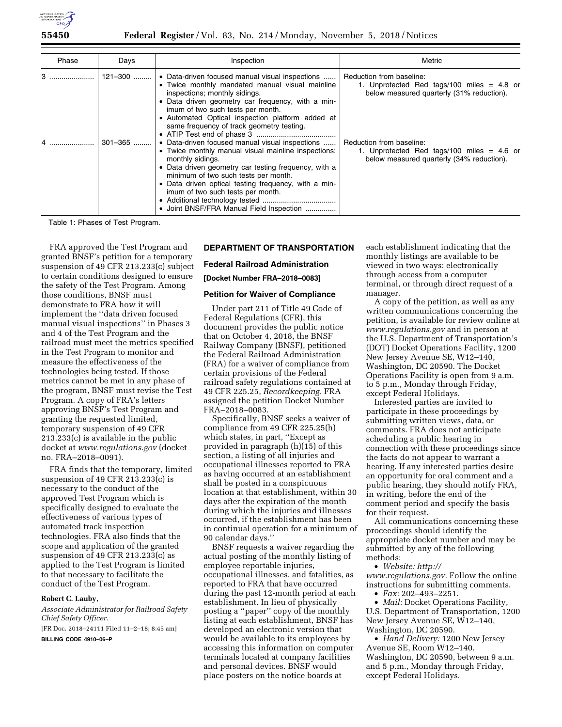

| Phase | Days    | Inspection                                                                                                                                                                                                                                                                                                                                                          | Metric                                                                                                                |
|-------|---------|---------------------------------------------------------------------------------------------------------------------------------------------------------------------------------------------------------------------------------------------------------------------------------------------------------------------------------------------------------------------|-----------------------------------------------------------------------------------------------------------------------|
| 3     | 121-300 | • Data-driven focused manual visual inspections<br>• Twice monthly mandated manual visual mainline<br>inspections; monthly sidings.<br>• Data driven geometry car frequency, with a min-<br>imum of two such tests per month.<br>• Automated Optical inspection platform added at<br>same frequency of track geometry testing.                                      | Reduction from baseline:<br>1. Unprotected Red tags/100 miles $=$ 4.8 or<br>below measured quarterly (31% reduction). |
| 4     | 301-365 | • Data-driven focused manual visual inspections<br>• Twice monthly manual visual mainline inspections;<br>monthly sidings.<br>• Data driven geometry car testing frequency, with a<br>minimum of two such tests per month.<br>• Data driven optical testing frequency, with a min-<br>imum of two such tests per month.<br>• Joint BNSF/FRA Manual Field Inspection | Reduction from baseline:<br>1. Unprotected Red tags/100 miles $= 4.6$ or<br>below measured quarterly (34% reduction). |

Table 1: Phases of Test Program.

FRA approved the Test Program and granted BNSF's petition for a temporary suspension of 49 CFR 213.233(c) subject to certain conditions designed to ensure the safety of the Test Program. Among those conditions, BNSF must demonstrate to FRA how it will implement the ''data driven focused manual visual inspections'' in Phases 3 and 4 of the Test Program and the railroad must meet the metrics specified in the Test Program to monitor and measure the effectiveness of the technologies being tested. If those metrics cannot be met in any phase of the program, BNSF must revise the Test Program. A copy of FRA's letters approving BNSF's Test Program and granting the requested limited, temporary suspension of 49 CFR 213.233(c) is available in the public docket at *[www.regulations.gov](http://www.regulations.gov)* (docket no. FRA–2018–0091).

FRA finds that the temporary, limited suspension of 49 CFR 213.233(c) is necessary to the conduct of the approved Test Program which is specifically designed to evaluate the effectiveness of various types of automated track inspection technologies. FRA also finds that the scope and application of the granted suspension of 49 CFR 213.233(c) as applied to the Test Program is limited to that necessary to facilitate the conduct of the Test Program.

# **Robert C. Lauby,**

*Associate Administrator for Railroad Safety Chief Safety Officer.*  [FR Doc. 2018–24111 Filed 11–2–18; 8:45 am]

**BILLING CODE 4910–06–P** 

# **DEPARTMENT OF TRANSPORTATION**

# **Federal Railroad Administration [Docket Number FRA–2018–0083]**

# **Petition for Waiver of Compliance**

Under part 211 of Title 49 Code of Federal Regulations (CFR), this document provides the public notice that on October 4, 2018, the BNSF Railway Company (BNSF), petitioned the Federal Railroad Administration (FRA) for a waiver of compliance from certain provisions of the Federal railroad safety regulations contained at 49 CFR 225.25, *Recordkeeping.* FRA assigned the petition Docket Number FRA–2018–0083.

Specifically, BNSF seeks a waiver of compliance from 49 CFR 225.25(h) which states, in part, ''Except as provided in paragraph (h)(15) of this section, a listing of all injuries and occupational illnesses reported to FRA as having occurred at an establishment shall be posted in a conspicuous location at that establishment, within 30 days after the expiration of the month during which the injuries and illnesses occurred, if the establishment has been in continual operation for a minimum of 90 calendar days.''

BNSF requests a waiver regarding the actual posting of the monthly listing of employee reportable injuries, occupational illnesses, and fatalities, as reported to FRA that have occurred during the past 12-month period at each establishment. In lieu of physically posting a ''paper'' copy of the monthly listing at each establishment, BNSF has developed an electronic version that would be available to its employees by accessing this information on computer terminals located at company facilities and personal devices. BNSF would place posters on the notice boards at

each establishment indicating that the monthly listings are available to be viewed in two ways: electronically through access from a computer terminal, or through direct request of a manager.

A copy of the petition, as well as any written communications concerning the petition, is available for review online at *[www.regulations.gov](http://www.regulations.gov)* and in person at the U.S. Department of Transportation's (DOT) Docket Operations Facility, 1200 New Jersey Avenue SE, W12–140, Washington, DC 20590. The Docket Operations Facility is open from 9 a.m. to 5 p.m., Monday through Friday, except Federal Holidays.

Interested parties are invited to participate in these proceedings by submitting written views, data, or comments. FRA does not anticipate scheduling a public hearing in connection with these proceedings since the facts do not appear to warrant a hearing. If any interested parties desire an opportunity for oral comment and a public hearing, they should notify FRA, in writing, before the end of the comment period and specify the basis for their request.

All communications concerning these proceedings should identify the appropriate docket number and may be submitted by any of the following methods:

# • *Website: [http://](http://www.regulations.gov)*

*[www.regulations.gov.](http://www.regulations.gov)* Follow the online instructions for submitting comments.

• *Fax:* 202–493–2251.

• *Mail:* Docket Operations Facility, U.S. Department of Transportation, 1200 New Jersey Avenue SE, W12–140, Washington, DC 20590.

• *Hand Delivery:* 1200 New Jersey Avenue SE, Room W12–140, Washington, DC 20590, between 9 a.m. and 5 p.m., Monday through Friday, except Federal Holidays.